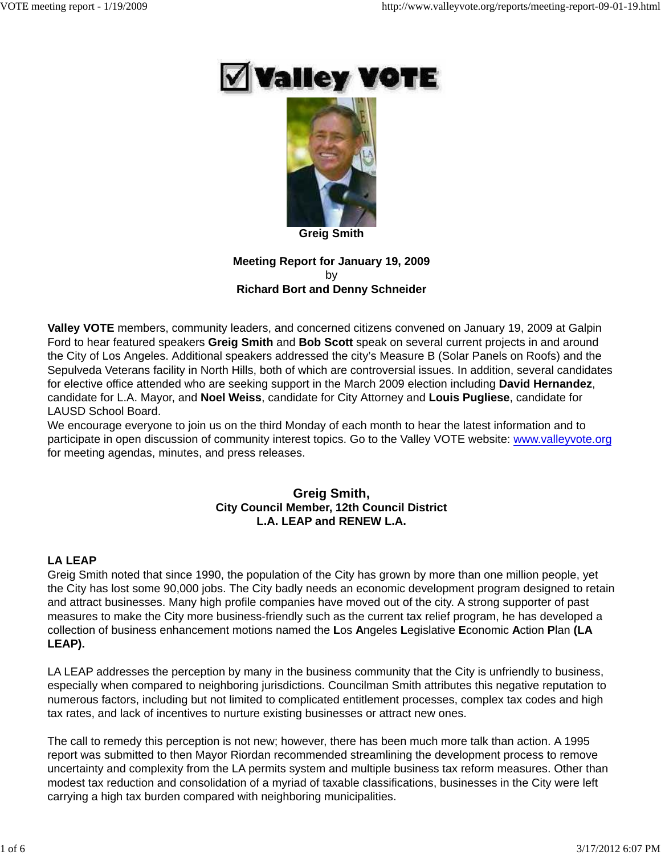



**Greig Smith**

**Meeting Report for January 19, 2009** by **Richard Bort and Denny Schneider**

**Valley VOTE** members, community leaders, and concerned citizens convened on January 19, 2009 at Galpin Ford to hear featured speakers **Greig Smith** and **Bob Scott** speak on several current projects in and around the City of Los Angeles. Additional speakers addressed the city's Measure B (Solar Panels on Roofs) and the Sepulveda Veterans facility in North Hills, both of which are controversial issues. In addition, several candidates for elective office attended who are seeking support in the March 2009 election including **David Hernandez**, candidate for L.A. Mayor, and **Noel Weiss**, candidate for City Attorney and **Louis Pugliese**, candidate for LAUSD School Board.

We encourage everyone to join us on the third Monday of each month to hear the latest information and to participate in open discussion of community interest topics. Go to the Valley VOTE website: www.valleyvote.org for meeting agendas, minutes, and press releases.

# **Greig Smith, City Council Member, 12th Council District L.A. LEAP and RENEW L.A.**

# **LA LEAP**

Greig Smith noted that since 1990, the population of the City has grown by more than one million people, yet the City has lost some 90,000 jobs. The City badly needs an economic development program designed to retain and attract businesses. Many high profile companies have moved out of the city. A strong supporter of past measures to make the City more business-friendly such as the current tax relief program, he has developed a collection of business enhancement motions named the **L**os **A**ngeles **L**egislative **E**conomic **A**ction **P**lan **(LA LEAP).**

LA LEAP addresses the perception by many in the business community that the City is unfriendly to business, especially when compared to neighboring jurisdictions. Councilman Smith attributes this negative reputation to numerous factors, including but not limited to complicated entitlement processes, complex tax codes and high tax rates, and lack of incentives to nurture existing businesses or attract new ones.

The call to remedy this perception is not new; however, there has been much more talk than action. A 1995 report was submitted to then Mayor Riordan recommended streamlining the development process to remove uncertainty and complexity from the LA permits system and multiple business tax reform measures. Other than modest tax reduction and consolidation of a myriad of taxable classifications, businesses in the City were left carrying a high tax burden compared with neighboring municipalities.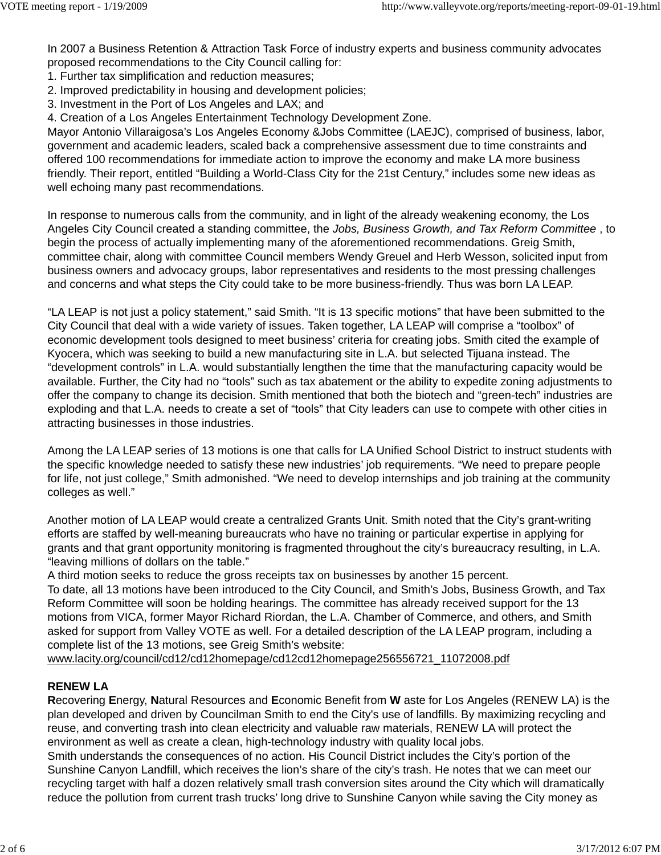In 2007 a Business Retention & Attraction Task Force of industry experts and business community advocates proposed recommendations to the City Council calling for:

- 1. Further tax simplification and reduction measures;
- 2. Improved predictability in housing and development policies;
- 3. Investment in the Port of Los Angeles and LAX; and
- 4. Creation of a Los Angeles Entertainment Technology Development Zone.

Mayor Antonio Villaraigosa's Los Angeles Economy &Jobs Committee (LAEJC), comprised of business, labor, government and academic leaders, scaled back a comprehensive assessment due to time constraints and offered 100 recommendations for immediate action to improve the economy and make LA more business friendly. Their report, entitled "Building a World-Class City for the 21st Century," includes some new ideas as well echoing many past recommendations.

In response to numerous calls from the community, and in light of the already weakening economy, the Los Angeles City Council created a standing committee, the *Jobs, Business Growth, and Tax Reform Committee* , to begin the process of actually implementing many of the aforementioned recommendations. Greig Smith, committee chair, along with committee Council members Wendy Greuel and Herb Wesson, solicited input from business owners and advocacy groups, labor representatives and residents to the most pressing challenges and concerns and what steps the City could take to be more business-friendly. Thus was born LA LEAP.

"LA LEAP is not just a policy statement," said Smith. "It is 13 specific motions" that have been submitted to the City Council that deal with a wide variety of issues. Taken together, LA LEAP will comprise a "toolbox" of economic development tools designed to meet business' criteria for creating jobs. Smith cited the example of Kyocera, which was seeking to build a new manufacturing site in L.A. but selected Tijuana instead. The "development controls" in L.A. would substantially lengthen the time that the manufacturing capacity would be available. Further, the City had no "tools" such as tax abatement or the ability to expedite zoning adjustments to offer the company to change its decision. Smith mentioned that both the biotech and "green-tech" industries are exploding and that L.A. needs to create a set of "tools" that City leaders can use to compete with other cities in attracting businesses in those industries.

Among the LA LEAP series of 13 motions is one that calls for LA Unified School District to instruct students with the specific knowledge needed to satisfy these new industries' job requirements. "We need to prepare people for life, not just college," Smith admonished. "We need to develop internships and job training at the community colleges as well."

Another motion of LA LEAP would create a centralized Grants Unit. Smith noted that the City's grant-writing efforts are staffed by well-meaning bureaucrats who have no training or particular expertise in applying for grants and that grant opportunity monitoring is fragmented throughout the city's bureaucracy resulting, in L.A. "leaving millions of dollars on the table."

A third motion seeks to reduce the gross receipts tax on businesses by another 15 percent. To date, all 13 motions have been introduced to the City Council, and Smith's Jobs, Business Growth, and Tax Reform Committee will soon be holding hearings. The committee has already received support for the 13 motions from VICA, former Mayor Richard Riordan, the L.A. Chamber of Commerce, and others, and Smith asked for support from Valley VOTE as well. For a detailed description of the LA LEAP program, including a complete list of the 13 motions, see Greig Smith's website:

www.lacity.org/council/cd12/cd12homepage/cd12cd12homepage256556721\_11072008.pdf

# **RENEW LA**

**R**ecovering **E**nergy, **N**atural Resources and **E**conomic Benefit from **W** aste for Los Angeles (RENEW LA) is the plan developed and driven by Councilman Smith to end the City's use of landfills. By maximizing recycling and reuse, and converting trash into clean electricity and valuable raw materials, RENEW LA will protect the environment as well as create a clean, high-technology industry with quality local jobs.

Smith understands the consequences of no action. His Council District includes the City's portion of the Sunshine Canyon Landfill, which receives the lion's share of the city's trash. He notes that we can meet our recycling target with half a dozen relatively small trash conversion sites around the City which will dramatically reduce the pollution from current trash trucks' long drive to Sunshine Canyon while saving the City money as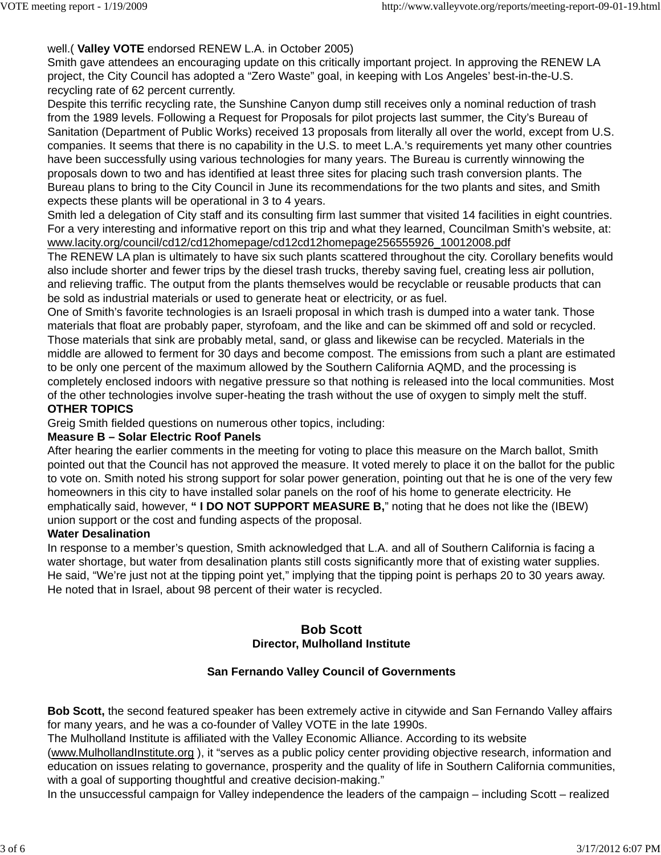## well.( **Valley VOTE** endorsed RENEW L.A. in October 2005)

Smith gave attendees an encouraging update on this critically important project. In approving the RENEW LA project, the City Council has adopted a "Zero Waste" goal, in keeping with Los Angeles' best-in-the-U.S. recycling rate of 62 percent currently.

Despite this terrific recycling rate, the Sunshine Canyon dump still receives only a nominal reduction of trash from the 1989 levels. Following a Request for Proposals for pilot projects last summer, the City's Bureau of Sanitation (Department of Public Works) received 13 proposals from literally all over the world, except from U.S. companies. It seems that there is no capability in the U.S. to meet L.A.'s requirements yet many other countries have been successfully using various technologies for many years. The Bureau is currently winnowing the proposals down to two and has identified at least three sites for placing such trash conversion plants. The Bureau plans to bring to the City Council in June its recommendations for the two plants and sites, and Smith expects these plants will be operational in 3 to 4 years.

Smith led a delegation of City staff and its consulting firm last summer that visited 14 facilities in eight countries. For a very interesting and informative report on this trip and what they learned, Councilman Smith's website, at: www.lacity.org/council/cd12/cd12homepage/cd12cd12homepage256555926\_10012008.pdf

The RENEW LA plan is ultimately to have six such plants scattered throughout the city. Corollary benefits would also include shorter and fewer trips by the diesel trash trucks, thereby saving fuel, creating less air pollution, and relieving traffic. The output from the plants themselves would be recyclable or reusable products that can be sold as industrial materials or used to generate heat or electricity, or as fuel.

One of Smith's favorite technologies is an Israeli proposal in which trash is dumped into a water tank. Those materials that float are probably paper, styrofoam, and the like and can be skimmed off and sold or recycled. Those materials that sink are probably metal, sand, or glass and likewise can be recycled. Materials in the middle are allowed to ferment for 30 days and become compost. The emissions from such a plant are estimated to be only one percent of the maximum allowed by the Southern California AQMD, and the processing is completely enclosed indoors with negative pressure so that nothing is released into the local communities. Most of the other technologies involve super-heating the trash without the use of oxygen to simply melt the stuff.

### **OTHER TOPICS**

Greig Smith fielded questions on numerous other topics, including:

### **Measure B – Solar Electric Roof Panels**

After hearing the earlier comments in the meeting for voting to place this measure on the March ballot, Smith pointed out that the Council has not approved the measure. It voted merely to place it on the ballot for the public to vote on. Smith noted his strong support for solar power generation, pointing out that he is one of the very few homeowners in this city to have installed solar panels on the roof of his home to generate electricity. He emphatically said, however, **" I DO NOT SUPPORT MEASURE B,**" noting that he does not like the (IBEW) union support or the cost and funding aspects of the proposal.

### **Water Desalination**

In response to a member's question, Smith acknowledged that L.A. and all of Southern California is facing a water shortage, but water from desalination plants still costs significantly more that of existing water supplies. He said, "We're just not at the tipping point yet," implying that the tipping point is perhaps 20 to 30 years away. He noted that in Israel, about 98 percent of their water is recycled.

## **Bob Scott Director, Mulholland Institute**

### **San Fernando Valley Council of Governments**

**Bob Scott,** the second featured speaker has been extremely active in citywide and San Fernando Valley affairs for many years, and he was a co-founder of Valley VOTE in the late 1990s.

The Mulholland Institute is affiliated with the Valley Economic Alliance. According to its website

(www.MulhollandInstitute.org ), it "serves as a public policy center providing objective research, information and education on issues relating to governance, prosperity and the quality of life in Southern California communities, with a goal of supporting thoughtful and creative decision-making."

In the unsuccessful campaign for Valley independence the leaders of the campaign – including Scott – realized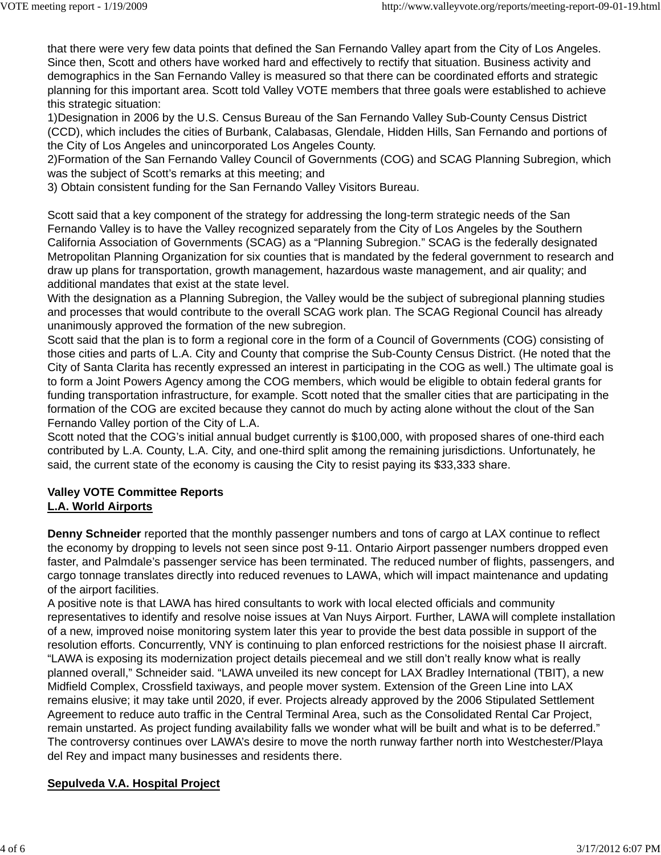that there were very few data points that defined the San Fernando Valley apart from the City of Los Angeles. Since then, Scott and others have worked hard and effectively to rectify that situation. Business activity and demographics in the San Fernando Valley is measured so that there can be coordinated efforts and strategic planning for this important area. Scott told Valley VOTE members that three goals were established to achieve this strategic situation:

1)Designation in 2006 by the U.S. Census Bureau of the San Fernando Valley Sub-County Census District (CCD), which includes the cities of Burbank, Calabasas, Glendale, Hidden Hills, San Fernando and portions of the City of Los Angeles and unincorporated Los Angeles County.

2)Formation of the San Fernando Valley Council of Governments (COG) and SCAG Planning Subregion, which was the subject of Scott's remarks at this meeting; and

3) Obtain consistent funding for the San Fernando Valley Visitors Bureau.

Scott said that a key component of the strategy for addressing the long-term strategic needs of the San Fernando Valley is to have the Valley recognized separately from the City of Los Angeles by the Southern California Association of Governments (SCAG) as a "Planning Subregion." SCAG is the federally designated Metropolitan Planning Organization for six counties that is mandated by the federal government to research and draw up plans for transportation, growth management, hazardous waste management, and air quality; and additional mandates that exist at the state level.

With the designation as a Planning Subregion, the Valley would be the subject of subregional planning studies and processes that would contribute to the overall SCAG work plan. The SCAG Regional Council has already unanimously approved the formation of the new subregion.

Scott said that the plan is to form a regional core in the form of a Council of Governments (COG) consisting of those cities and parts of L.A. City and County that comprise the Sub-County Census District. (He noted that the City of Santa Clarita has recently expressed an interest in participating in the COG as well.) The ultimate goal is to form a Joint Powers Agency among the COG members, which would be eligible to obtain federal grants for funding transportation infrastructure, for example. Scott noted that the smaller cities that are participating in the formation of the COG are excited because they cannot do much by acting alone without the clout of the San Fernando Valley portion of the City of L.A.

Scott noted that the COG's initial annual budget currently is \$100,000, with proposed shares of one-third each contributed by L.A. County, L.A. City, and one-third split among the remaining jurisdictions. Unfortunately, he said, the current state of the economy is causing the City to resist paying its \$33,333 share.

## **Valley VOTE Committee Reports L.A. World Airports**

**Denny Schneider** reported that the monthly passenger numbers and tons of cargo at LAX continue to reflect the economy by dropping to levels not seen since post 9-11. Ontario Airport passenger numbers dropped even faster, and Palmdale's passenger service has been terminated. The reduced number of flights, passengers, and cargo tonnage translates directly into reduced revenues to LAWA, which will impact maintenance and updating of the airport facilities.

A positive note is that LAWA has hired consultants to work with local elected officials and community representatives to identify and resolve noise issues at Van Nuys Airport. Further, LAWA will complete installation of a new, improved noise monitoring system later this year to provide the best data possible in support of the resolution efforts. Concurrently, VNY is continuing to plan enforced restrictions for the noisiest phase II aircraft. "LAWA is exposing its modernization project details piecemeal and we still don't really know what is really planned overall," Schneider said. "LAWA unveiled its new concept for LAX Bradley International (TBIT), a new Midfield Complex, Crossfield taxiways, and people mover system. Extension of the Green Line into LAX remains elusive; it may take until 2020, if ever. Projects already approved by the 2006 Stipulated Settlement Agreement to reduce auto traffic in the Central Terminal Area, such as the Consolidated Rental Car Project, remain unstarted. As project funding availability falls we wonder what will be built and what is to be deferred." The controversy continues over LAWA's desire to move the north runway farther north into Westchester/Playa del Rey and impact many businesses and residents there.

# **Sepulveda V.A. Hospital Project**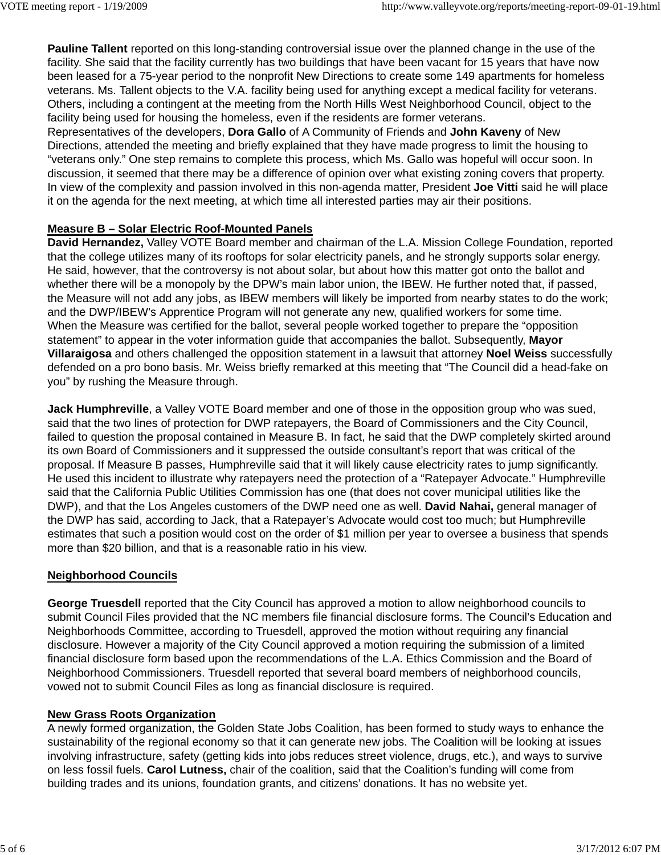**Pauline Tallent** reported on this long-standing controversial issue over the planned change in the use of the facility. She said that the facility currently has two buildings that have been vacant for 15 years that have now been leased for a 75-year period to the nonprofit New Directions to create some 149 apartments for homeless veterans. Ms. Tallent objects to the V.A. facility being used for anything except a medical facility for veterans. Others, including a contingent at the meeting from the North Hills West Neighborhood Council, object to the facility being used for housing the homeless, even if the residents are former veterans.

Representatives of the developers, **Dora Gallo** of A Community of Friends and **John Kaveny** of New Directions, attended the meeting and briefly explained that they have made progress to limit the housing to "veterans only." One step remains to complete this process, which Ms. Gallo was hopeful will occur soon. In discussion, it seemed that there may be a difference of opinion over what existing zoning covers that property. In view of the complexity and passion involved in this non-agenda matter, President **Joe Vitti** said he will place it on the agenda for the next meeting, at which time all interested parties may air their positions.

## **Measure B – Solar Electric Roof-Mounted Panels**

**David Hernandez,** Valley VOTE Board member and chairman of the L.A. Mission College Foundation, reported that the college utilizes many of its rooftops for solar electricity panels, and he strongly supports solar energy. He said, however, that the controversy is not about solar, but about how this matter got onto the ballot and whether there will be a monopoly by the DPW's main labor union, the IBEW. He further noted that, if passed, the Measure will not add any jobs, as IBEW members will likely be imported from nearby states to do the work; and the DWP/IBEW's Apprentice Program will not generate any new, qualified workers for some time. When the Measure was certified for the ballot, several people worked together to prepare the "opposition statement" to appear in the voter information guide that accompanies the ballot. Subsequently, **Mayor Villaraigosa** and others challenged the opposition statement in a lawsuit that attorney **Noel Weiss** successfully defended on a pro bono basis. Mr. Weiss briefly remarked at this meeting that "The Council did a head-fake on you" by rushing the Measure through.

**Jack Humphreville**, a Valley VOTE Board member and one of those in the opposition group who was sued, said that the two lines of protection for DWP ratepayers, the Board of Commissioners and the City Council, failed to question the proposal contained in Measure B. In fact, he said that the DWP completely skirted around its own Board of Commissioners and it suppressed the outside consultant's report that was critical of the proposal. If Measure B passes, Humphreville said that it will likely cause electricity rates to jump significantly. He used this incident to illustrate why ratepayers need the protection of a "Ratepayer Advocate." Humphreville said that the California Public Utilities Commission has one (that does not cover municipal utilities like the DWP), and that the Los Angeles customers of the DWP need one as well. **David Nahai,** general manager of the DWP has said, according to Jack, that a Ratepayer's Advocate would cost too much; but Humphreville estimates that such a position would cost on the order of \$1 million per year to oversee a business that spends more than \$20 billion, and that is a reasonable ratio in his view.

### **Neighborhood Councils**

**George Truesdell** reported that the City Council has approved a motion to allow neighborhood councils to submit Council Files provided that the NC members file financial disclosure forms. The Council's Education and Neighborhoods Committee, according to Truesdell, approved the motion without requiring any financial disclosure. However a majority of the City Council approved a motion requiring the submission of a limited financial disclosure form based upon the recommendations of the L.A. Ethics Commission and the Board of Neighborhood Commissioners. Truesdell reported that several board members of neighborhood councils, vowed not to submit Council Files as long as financial disclosure is required.

### **New Grass Roots Organization**

A newly formed organization, the Golden State Jobs Coalition, has been formed to study ways to enhance the sustainability of the regional economy so that it can generate new jobs. The Coalition will be looking at issues involving infrastructure, safety (getting kids into jobs reduces street violence, drugs, etc.), and ways to survive on less fossil fuels. **Carol Lutness,** chair of the coalition, said that the Coalition's funding will come from building trades and its unions, foundation grants, and citizens' donations. It has no website yet.